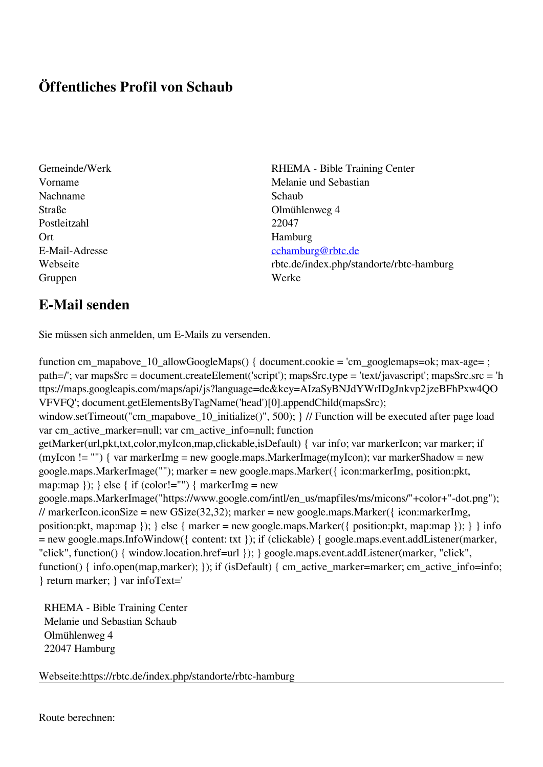## **Öffentliches Profil von Schaub**

- Nachname Schaub Straße Olmühlenweg 4 Postleitzahl 22047 Ort Hamburg Gruppen Werke
- Gemeinde/Werk RHEMA Bible Training Center Vorname Melanie und Sebastian E-Mail-Adresse [cchamburg@rbtc.de](mailto:cchamburg@rbtc.de) Webseite rbtc.de/index.php/standorte/rbtc-hamburg

## **E-Mail senden**

Sie müssen sich anmelden, um E-Mails zu versenden.

function cm\_mapabove\_10\_allowGoogleMaps() { document.cookie = 'cm\_googlemaps=ok; max-age= ; path=/'; var mapsSrc = document.createElement('script'); mapsSrc.type = 'text/javascript'; mapsSrc.src = 'h ttps://maps.googleapis.com/maps/api/js?language=de&key=AIzaSyBNJdYWrIDgJnkvp2jzeBFhPxw4QO VFVFQ'; document.getElementsByTagName('head')[0].appendChild(mapsSrc); window.setTimeout("cm\_mapabove\_10\_initialize()", 500); } // Function will be executed after page load var cm\_active\_marker=null; var cm\_active\_info=null; function getMarker(url,pkt,txt,color,myIcon,map,clickable,isDefault) { var info; var markerIcon; var marker; if (myIcon != "") { var markerImg = new google.maps.MarkerImage(myIcon); var markerShadow = new google.maps.MarkerImage(""); marker = new google.maps.Marker({ icon:markerImg, position:pkt, map:map  $\}$ ;  $\}$  else  $\{$  if (color!="")  $\{$  markerImg = new google.maps.MarkerImage("https://www.google.com/intl/en\_us/mapfiles/ms/micons/"+color+"-dot.png"); // markerIcon.iconSize = new GSize(32,32); marker = new google.maps.Marker({ $\epsilon$  icon:markerImg, position:pkt, map:map  $\}$ ;  $\}$  else  $\{$  marker = new google.maps.Marker $(\{$  position:pkt, map:map  $\})$ ;  $\}$  info = new google.maps.InfoWindow({ content: txt }); if (clickable) { google.maps.event.addListener(marker, "click", function() { window.location.href=url }); } google.maps.event.addListener(marker, "click", function() { info.open(map,marker); }); if (isDefault) { cm\_active\_marker=marker; cm\_active\_info=info; } return marker; } var infoText='

 RHEMA - Bible Training Center Melanie und Sebastian Schaub Olmühlenweg 4 22047 Hamburg

Webseite:https://rbtc.de/index.php/standorte/rbtc-hamburg